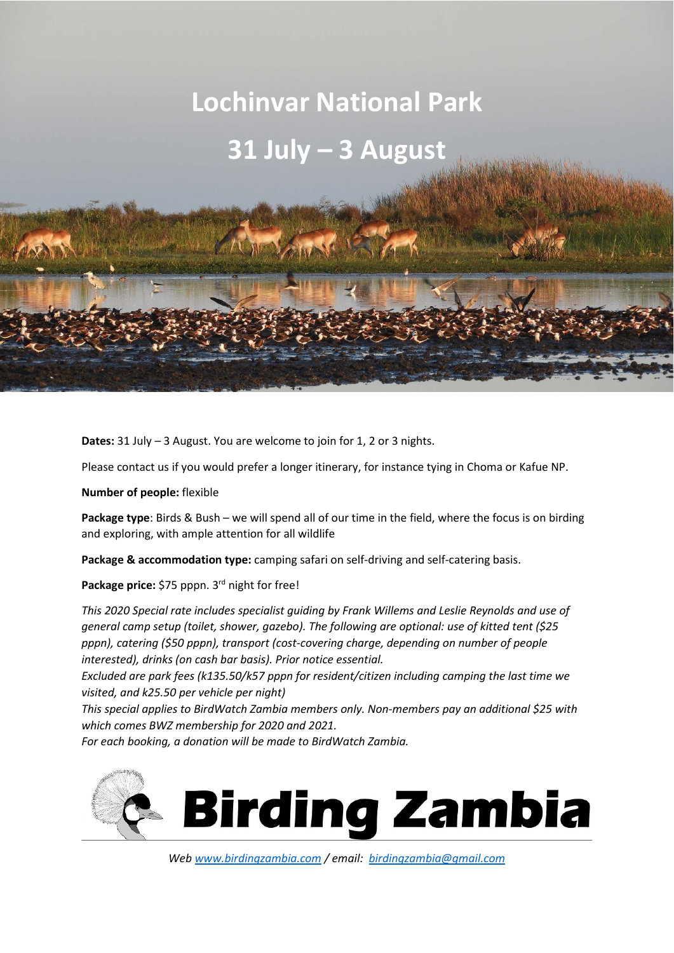# **Lochinvar National Park**

# **31 July – 3 August**

**Dates:** 31 July – 3 August. You are welcome to join for 1, 2 or 3 nights.

Please contact us if you would prefer a longer itinerary, for instance tying in Choma or Kafue NP.

**Number of people:** flexible

**Package type**: Birds & Bush – we will spend all of our time in the field, where the focus is on birding and exploring, with ample attention for all wildlife

**Package & accommodation type:** camping safari on self-driving and self-catering basis.

Package price: \$75 pppn. 3<sup>rd</sup> night for free!

*This 2020 Special rate includes specialist guiding by Frank Willems and Leslie Reynolds and use of general camp setup (toilet, shower, gazebo). The following are optional: use of kitted tent (\$25 pppn), catering (\$50 pppn), transport (cost-covering charge, depending on number of people interested), drinks (on cash bar basis). Prior notice essential.* 

*Excluded are park fees (k135.50/k57 pppn for resident/citizen including camping the last time we visited, and k25.50 per vehicle per night)* 

*This special applies to BirdWatch Zambia members only. Non-members pay an additional \$25 with which comes BWZ membership for 2020 and 2021.* 

*For each booking, a donation will be made to BirdWatch Zambia.* 



*Web www.birdingzambia.com / email: birdingzambia@gmail.com*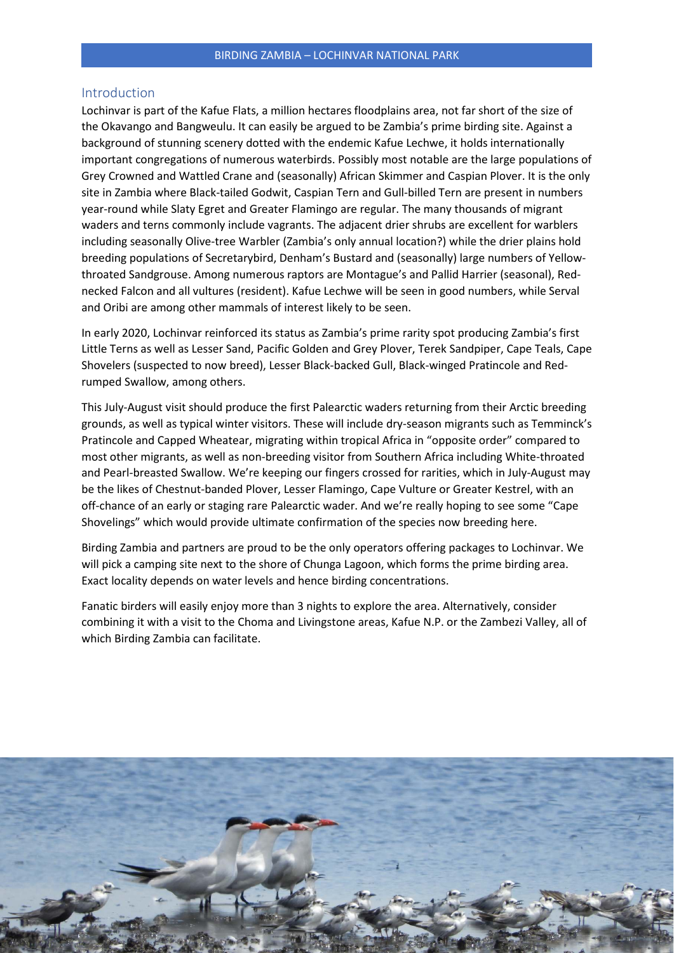#### Introduction

Lochinvar is part of the Kafue Flats, a million hectares floodplains area, not far short of the size of the Okavango and Bangweulu. It can easily be argued to be Zambia's prime birding site. Against a background of stunning scenery dotted with the endemic Kafue Lechwe, it holds internationally important congregations of numerous waterbirds. Possibly most notable are the large populations of Grey Crowned and Wattled Crane and (seasonally) African Skimmer and Caspian Plover. It is the only site in Zambia where Black-tailed Godwit, Caspian Tern and Gull-billed Tern are present in numbers year-round while Slaty Egret and Greater Flamingo are regular. The many thousands of migrant waders and terns commonly include vagrants. The adjacent drier shrubs are excellent for warblers including seasonally Olive-tree Warbler (Zambia's only annual location?) while the drier plains hold breeding populations of Secretarybird, Denham's Bustard and (seasonally) large numbers of Yellowthroated Sandgrouse. Among numerous raptors are Montague's and Pallid Harrier (seasonal), Rednecked Falcon and all vultures (resident). Kafue Lechwe will be seen in good numbers, while Serval and Oribi are among other mammals of interest likely to be seen.

In early 2020, Lochinvar reinforced its status as Zambia's prime rarity spot producing Zambia's first Little Terns as well as Lesser Sand, Pacific Golden and Grey Plover, Terek Sandpiper, Cape Teals, Cape Shovelers (suspected to now breed), Lesser Black-backed Gull, Black-winged Pratincole and Redrumped Swallow, among others.

This July-August visit should produce the first Palearctic waders returning from their Arctic breeding grounds, as well as typical winter visitors. These will include dry-season migrants such as Temminck's Pratincole and Capped Wheatear, migrating within tropical Africa in "opposite order" compared to most other migrants, as well as non-breeding visitor from Southern Africa including White-throated and Pearl-breasted Swallow. We're keeping our fingers crossed for rarities, which in July-August may be the likes of Chestnut-banded Plover, Lesser Flamingo, Cape Vulture or Greater Kestrel, with an off-chance of an early or staging rare Palearctic wader. And we're really hoping to see some "Cape Shovelings" which would provide ultimate confirmation of the species now breeding here.

Birding Zambia and partners are proud to be the only operators offering packages to Lochinvar. We will pick a camping site next to the shore of Chunga Lagoon, which forms the prime birding area. Exact locality depends on water levels and hence birding concentrations.

Fanatic birders will easily enjoy more than 3 nights to explore the area. Alternatively, consider combining it with a visit to the Choma and Livingstone areas, Kafue N.P. or the Zambezi Valley, all of which Birding Zambia can facilitate.

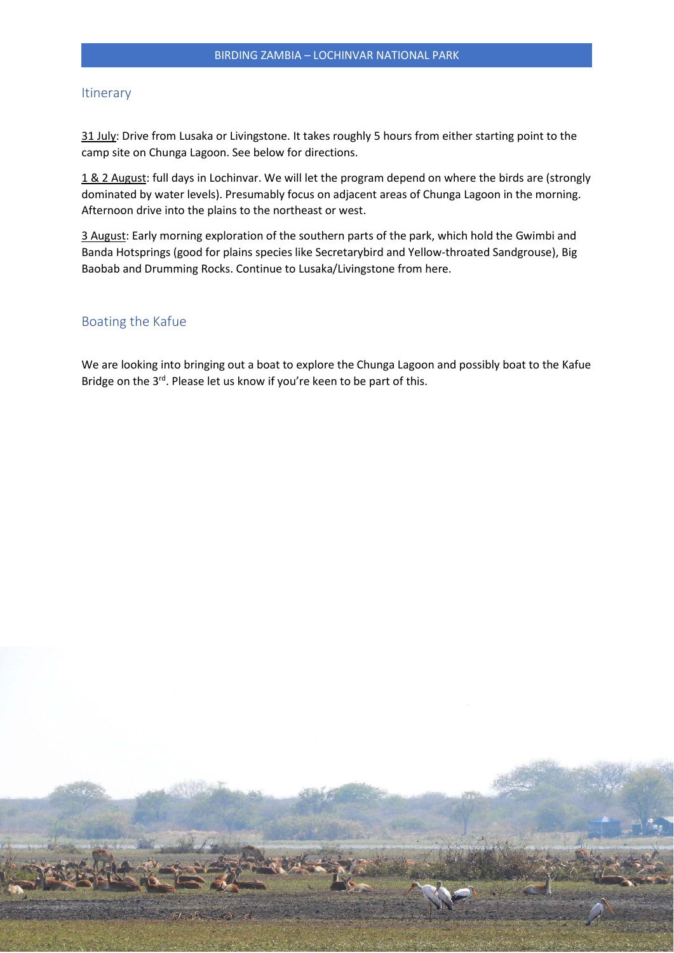#### Itinerary

31 July: Drive from Lusaka or Livingstone. It takes roughly 5 hours from either starting point to the camp site on Chunga Lagoon. See below for directions.

1 & 2 August: full days in Lochinvar. We will let the program depend on where the birds are (strongly dominated by water levels). Presumably focus on adjacent areas of Chunga Lagoon in the morning. Afternoon drive into the plains to the northeast or west.

3 August: Early morning exploration of the southern parts of the park, which hold the Gwimbi and Banda Hotsprings (good for plains species like Secretarybird and Yellow-throated Sandgrouse), Big Baobab and Drumming Rocks. Continue to Lusaka/Livingstone from here.

### Boating the Kafue

We are looking into bringing out a boat to explore the Chunga Lagoon and possibly boat to the Kafue Bridge on the 3<sup>rd</sup>. Please let us know if you're keen to be part of this.